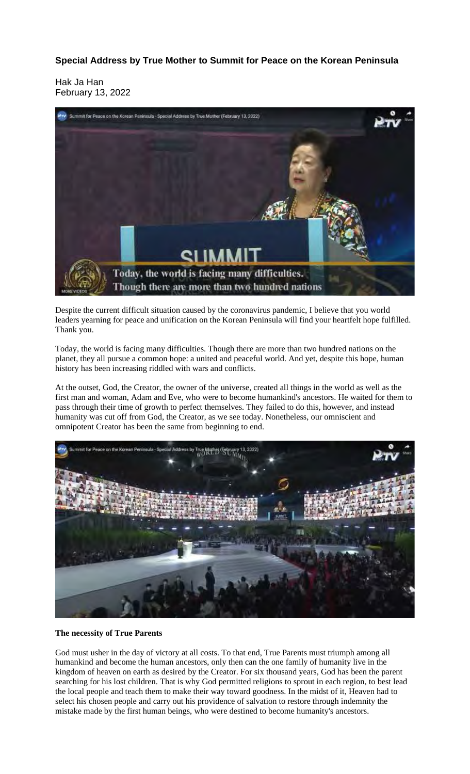**Special Address by True Mother to Summit for Peace on the Korean Peninsula**

Hak Ja Han February 13, 2022



Despite the current difficult situation caused by the coronavirus pandemic, I believe that you world leaders yearning for peace and unification on the Korean Peninsula will find your heartfelt hope fulfilled. Thank you.

Today, the world is facing many difficulties. Though there are more than two hundred nations on the planet, they all pursue a common hope: a united and peaceful world. And yet, despite this hope, human history has been increasing riddled with wars and conflicts.

At the outset, God, the Creator, the owner of the universe, created all things in the world as well as the first man and woman, Adam and Eve, who were to become humankind's ancestors. He waited for them to pass through their time of growth to perfect themselves. They failed to do this, however, and instead humanity was cut off from God, the Creator, as we see today. Nonetheless, our omniscient and omnipotent Creator has been the same from beginning to end.



**The necessity of True Parents**

God must usher in the day of victory at all costs. To that end, True Parents must triumph among all humankind and become the human ancestors, only then can the one family of humanity live in the kingdom of heaven on earth as desired by the Creator. For six thousand years, God has been the parent searching for his lost children. That is why God permitted religions to sprout in each region, to best lead the local people and teach them to make their way toward goodness. In the midst of it, Heaven had to select his chosen people and carry out his providence of salvation to restore through indemnity the mistake made by the first human beings, who were destined to become humanity's ancestors.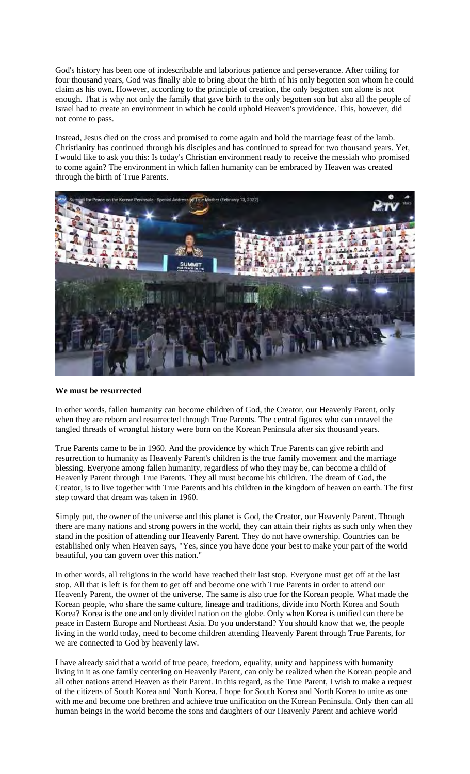God's history has been one of indescribable and laborious patience and perseverance. After toiling for four thousand years, God was finally able to bring about the birth of his only begotten son whom he could claim as his own. However, according to the principle of creation, the only begotten son alone is not enough. That is why not only the family that gave birth to the only begotten son but also all the people of Israel had to create an environment in which he could uphold Heaven's providence. This, however, did not come to pass.

Instead, Jesus died on the cross and promised to come again and hold the marriage feast of the lamb. Christianity has continued through his disciples and has continued to spread for two thousand years. Yet, I would like to ask you this: Is today's Christian environment ready to receive the messiah who promised to come again? The environment in which fallen humanity can be embraced by Heaven was created through the birth of True Parents.



## **We must be resurrected**

In other words, fallen humanity can become children of God, the Creator, our Heavenly Parent, only when they are reborn and resurrected through True Parents. The central figures who can unravel the tangled threads of wrongful history were born on the Korean Peninsula after six thousand years.

True Parents came to be in 1960. And the providence by which True Parents can give rebirth and resurrection to humanity as Heavenly Parent's children is the true family movement and the marriage blessing. Everyone among fallen humanity, regardless of who they may be, can become a child of Heavenly Parent through True Parents. They all must become his children. The dream of God, the Creator, is to live together with True Parents and his children in the kingdom of heaven on earth. The first step toward that dream was taken in 1960.

Simply put, the owner of the universe and this planet is God, the Creator, our Heavenly Parent. Though there are many nations and strong powers in the world, they can attain their rights as such only when they stand in the position of attending our Heavenly Parent. They do not have ownership. Countries can be established only when Heaven says, "Yes, since you have done your best to make your part of the world beautiful, you can govern over this nation."

In other words, all religions in the world have reached their last stop. Everyone must get off at the last stop. All that is left is for them to get off and become one with True Parents in order to attend our Heavenly Parent, the owner of the universe. The same is also true for the Korean people. What made the Korean people, who share the same culture, lineage and traditions, divide into North Korea and South Korea? Korea is the one and only divided nation on the globe. Only when Korea is unified can there be peace in Eastern Europe and Northeast Asia. Do you understand? You should know that we, the people living in the world today, need to become children attending Heavenly Parent through True Parents, for we are connected to God by heavenly law.

I have already said that a world of true peace, freedom, equality, unity and happiness with humanity living in it as one family centering on Heavenly Parent, can only be realized when the Korean people and all other nations attend Heaven as their Parent. In this regard, as the True Parent, I wish to make a request of the citizens of South Korea and North Korea. I hope for South Korea and North Korea to unite as one with me and become one brethren and achieve true unification on the Korean Peninsula. Only then can all human beings in the world become the sons and daughters of our Heavenly Parent and achieve world